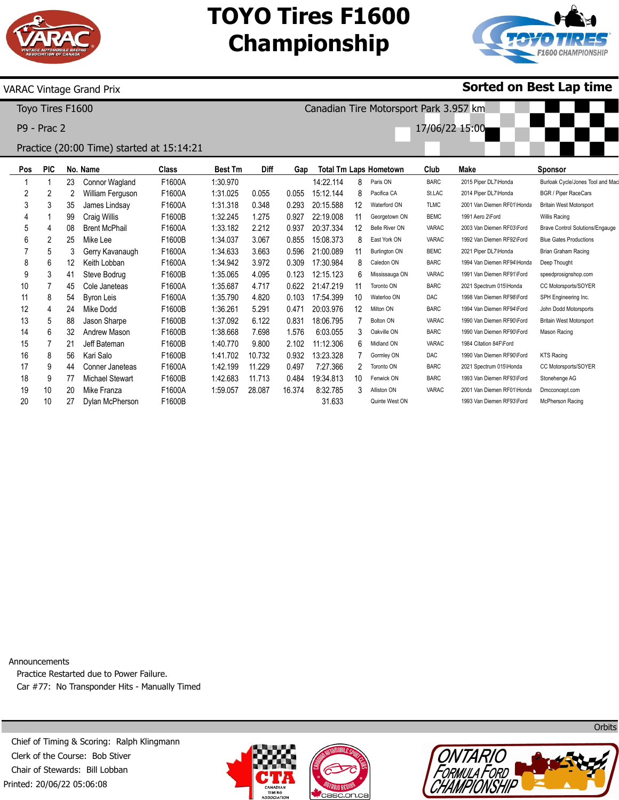

## **TOYO Tires F1600 Championship**

Canadian Tire Motorsport Park 3.957 km

17/06/22 15:00



### VARAC Vintage Grand Prix

Toyo Tires F1600

P9 - Prac 2

### Practice (20:00 Time) started at 15:14:21

| Pos | <b>PIC</b>     |    | No. Name               | <b>Class</b> | <b>Best Tm</b> | <b>Diff</b> | Gap    |           |    | <b>Total Tm Laps Hometown</b> | Club         | Make                       | <b>Sponsor</b>                         |
|-----|----------------|----|------------------------|--------------|----------------|-------------|--------|-----------|----|-------------------------------|--------------|----------------------------|----------------------------------------|
|     |                | 23 | Connor Wagland         | F1600A       | 1:30.970       |             |        | 14:22.114 | 8  | Paris ON                      | <b>BARC</b>  | 2015 Piper DL7\Honda       | Burloak Cycle/Jones Tool and Mac       |
| 2   | $\overline{2}$ | 2  | William Ferguson       | F1600A       | 1:31.025       | 0.055       | 0.055  | 15:12.144 |    | Pacifica CA                   | St.LAC       | 2014 Piper DL7\Honda       | BGR / Piper RaceCars                   |
| 3   | 3              | 35 | James Lindsay          | F1600A       | 1:31.318       | 0.348       | 0.293  | 20:15.588 | 12 | Waterford ON                  | <b>TLMC</b>  | 2001 Van Diemen RF01\Honda | <b>Britain West Motorsport</b>         |
| 4   |                | 99 | Craig Willis           | F1600B       | 1:32.245       | 1.275       | 0.927  | 22:19.008 | 11 | Georgetown ON                 | <b>BEMC</b>  | 1991 Aero 2\Ford           | Willis Racing                          |
| 5   |                | 08 | <b>Brent McPhail</b>   | F1600A       | 1:33.182       | 2.212       | 0.937  | 20:37.334 | 12 | <b>Belle River ON</b>         | <b>VARAC</b> | 2003 Van Diemen RF03\Ford  | <b>Brave Control Solutions/Engauge</b> |
| 6   | 2              | 25 | Mike Lee               | F1600B       | 1:34.037       | 3.067       | 0.855  | 15:08.373 |    | East York ON                  | VARAC        | 1992 Van Diemen RF92\Ford  | <b>Blue Gates Productions</b>          |
|     | 5              | 3  | Gerry Kavanaugh        | F1600A       | 1:34.633       | 3.663       | 0.596  | 21:00.089 | 11 | <b>Burlington ON</b>          | <b>BEMC</b>  | 2021 Piper DL7\Honda       | Brian Graham Racing                    |
| 8   | 6              | 12 | Keith Lobban           | F1600A       | 1:34.942       | 3.972       | 0.309  | 17:30.984 |    | Caledon ON                    | <b>BARC</b>  | 1994 Van Diemen RF94\Honda | Deep Thought                           |
| 9   | 3              | 41 | Steve Bodrug           | F1600B       | 1:35.065       | 4.095       | 0.123  | 12:15.123 | 6  | Mississauga ON                | <b>VARAC</b> | 1991 Van Diemen RF91\Ford  | speedprosignshop.com                   |
| 10  |                | 45 | Cole Janeteas          | F1600A       | 1:35.687       | 4.717       | 0.622  | 21:47.219 |    | Toronto ON                    | <b>BARC</b>  | 2021 Spectrum 015\Honda    | CC Motorsports/SOYER                   |
| 11  | 8              | 54 | <b>Byron Leis</b>      | F1600A       | 1:35.790       | 4.820       | 0.103  | 17:54.399 | 10 | Waterloo ON                   | <b>DAC</b>   | 1998 Van Diemen RF98\Ford  | SPH Engineering Inc.                   |
| 12  | 4              | 24 | Mike Dodd              | F1600B       | 1:36.261       | 5.291       | 0.471  | 20:03.976 | 12 | Milton ON                     | <b>BARC</b>  | 1994 Van Diemen RF94\Ford  | John Dodd Motorsports                  |
| 13  | 5              | 88 | Jason Sharpe           | F1600B       | 1:37.092       | 6.122       | 0.831  | 18:06.795 |    | Bolton ON                     | <b>VARAC</b> | 1990 Van Diemen RF90\Ford  | <b>Britain West Motorsport</b>         |
| 14  | 6              | 32 | Andrew Mason           | F1600B       | 1:38.668       | 7.698       | 1.576  | 6:03.055  |    | Oakville ON                   | <b>BARC</b>  | 1990 Van Diemen RF90\Ford  | Mason Racing                           |
| 15  |                | 21 | Jeff Bateman           | F1600B       | 1:40.770       | 9.800       | 2.102  | 11:12.306 | 6  | Midland ON                    | VARAC        | 1984 Citation 84F\Ford     |                                        |
| 16  | 8              | 56 | Kari Salo              | F1600B       | 1:41.702       | 10.732      | 0.932  | 13:23.328 |    | Gormley ON                    | <b>DAC</b>   | 1990 Van Diemen RF90\Ford  | <b>KTS Racing</b>                      |
| 17  | 9              | 44 | Conner Janeteas        | F1600A       | 1:42.199       | 11.229      | 0.497  | 7:27.366  |    | Toronto ON                    | <b>BARC</b>  | 2021 Spectrum 015\Honda    | CC Motorsports/SOYER                   |
| 18  | 9              | 77 | <b>Michael Stewart</b> | F1600B       | 1:42.683       | 11.713      | 0.484  | 19:34.813 | 10 | Fenwick ON                    | <b>BARC</b>  | 1993 Van Diemen RF93\Ford  | Stonehenge AG                          |
| 19  | 10             | 20 | Mike Franza            | F1600A       | 1:59.057       | 28.087      | 16.374 | 8:32.785  |    | Alliston ON                   | <b>VARAC</b> | 2001 Van Diemen RF01\Honda | Dmcconcept.com                         |
| 20  | 10             | 27 | Dylan McPherson        | F1600B       |                |             |        | 31.633    |    | Quinte West ON                |              | 1993 Van Diemen RF93\Ford  | McPherson Racing                       |

Announcements Practice Restarted due to Power Failure. Car #77: No Transponder Hits - Manually Timed

Printed: 20/06/22 05:06:08 Chief of Timing & Scoring: Ralph Klingmann Clerk of the Course: Bob Stiver Chair of Stewards: Bill Lobban







**Orbits** 

**Sorted on Best Lap time**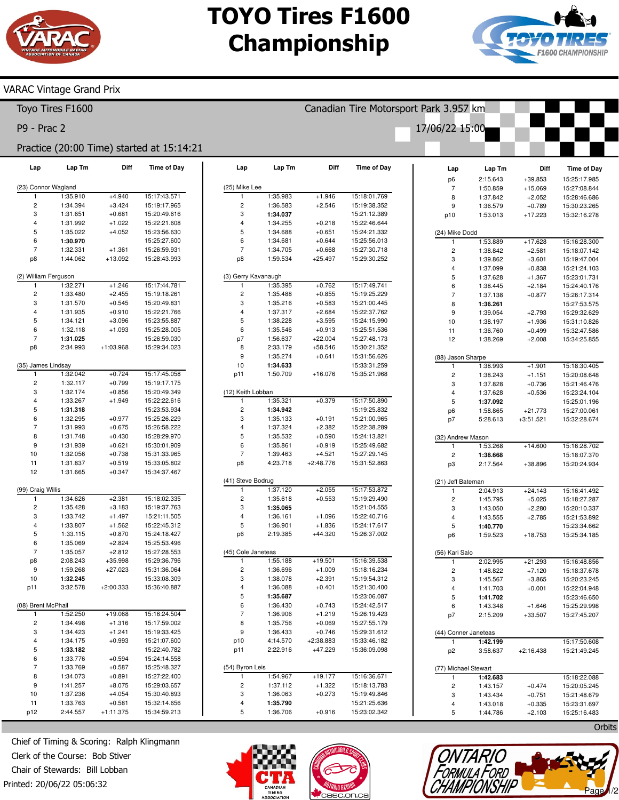# **TOYO Tires F1600 Championship**



### VARAC Vintage Grand Prix

|                                           | Toyo Tires F1600     |                       |                              | Canadian Tire Motorsport Park 3.957 km |                      |                          |                              |                                   |                      |                        |                              |  |  |
|-------------------------------------------|----------------------|-----------------------|------------------------------|----------------------------------------|----------------------|--------------------------|------------------------------|-----------------------------------|----------------------|------------------------|------------------------------|--|--|
| P9 - Prac 2                               |                      |                       |                              |                                        |                      |                          |                              | 17/06/22 15:00                    |                      |                        |                              |  |  |
| Practice (20:00 Time) started at 15:14:21 |                      |                       |                              |                                        |                      |                          |                              |                                   |                      |                        |                              |  |  |
|                                           |                      |                       |                              |                                        |                      |                          |                              |                                   |                      |                        |                              |  |  |
| Lap                                       | Lap Tm               | Diff                  | <b>Time of Day</b>           | Lap                                    | Lap Tm               | Diff                     | <b>Time of Day</b>           | Lap                               | Lap Tm               | Diff                   | <b>Time of Day</b>           |  |  |
| (23) Connor Wagland                       |                      |                       |                              | (25) Mike Lee                          |                      |                          |                              | p6<br>$\overline{7}$              | 2:15.643<br>1:50.859 | $+39.853$<br>$+15.069$ | 15:25:17.985<br>15:27:08.844 |  |  |
| $\mathbf{1}$                              | 1:35.910             | $+4.940$              | 15:17:43.571                 | 1                                      | 1:35.983             | $+1.946$                 | 15:18:01.769                 | 8                                 | 1:37.842             | $+2.052$               | 15:28:46.686                 |  |  |
| $\overline{c}$                            | 1:34.394             | $+3.424$              | 15:19:17.965                 | $\overline{c}$                         | 1:36.583             | $+2.546$                 | 15:19:38.352                 | $\boldsymbol{9}$                  | 1:36.579             | $+0.789$               | 15:30:23.265                 |  |  |
| 3                                         | 1:31.651             | $+0.681$              | 15:20:49.616                 | 3                                      | 1:34.037             |                          | 15:21:12.389                 | p10                               | 1:53.013             | $+17.223$              | 15:32:16.278                 |  |  |
| $\overline{4}$                            | 1:31.992             | $+1.022$              | 15:22:21.608                 | 4                                      | 1:34.255             | $+0.218$                 | 15:22:46.644                 |                                   |                      |                        |                              |  |  |
| $\sqrt{5}$                                | 1:35.022             | $+4.052$              | 15:23:56.630                 | 5                                      | 1:34.688             | $+0.651$                 | 15:24:21.332                 | (24) Mike Dodd                    |                      |                        |                              |  |  |
| 6<br>$\overline{7}$                       | 1:30.970             |                       | 15:25:27.600                 | 6<br>$\overline{7}$                    | 1:34.681             | $+0.644$                 | 15:25:56.013                 | 1                                 | 1:53.889             | $+17.628$              | 15:16:28.300                 |  |  |
| p8                                        | 1:32.331<br>1:44.062 | $+1.361$<br>$+13.092$ | 15:26:59.931<br>15:28:43.993 | p8                                     | 1:34.705<br>1:59.534 | $+0.668$<br>$+25.497$    | 15:27:30.718<br>15:29:30.252 | $\overline{\mathbf{c}}$           | 1:38.842             | $+2.581$               | 15:18:07.142                 |  |  |
|                                           |                      |                       |                              |                                        |                      |                          |                              | 3<br>$\overline{4}$               | 1:39.862<br>1:37.099 | $+3.601$<br>$+0.838$   | 15:19:47.004<br>15:21:24.103 |  |  |
| (2) William Ferguson                      |                      |                       |                              | (3) Gerry Kavanaugh                    |                      |                          |                              | $\sqrt{5}$                        | 1:37.628             | $+1.367$               | 15:23:01.731                 |  |  |
| $\mathbf{1}$                              | 1:32.271             | $+1.246$              | 15:17:44.781                 | $\mathbf{1}$                           | 1:35.395             | $+0.762$                 | 15:17:49.741                 | 6                                 | 1:38.445             | $+2.184$               | 15:24:40.176                 |  |  |
| $\overline{c}$                            | 1:33.480             | $+2.455$              | 15:19:18.261                 | $\overline{c}$                         | 1:35.488             | $+0.855$                 | 15:19:25.229                 | $\overline{7}$                    | 1:37.138             | $+0.877$               | 15:26:17.314                 |  |  |
| 3                                         | 1:31.570             | $+0.545$              | 15:20:49.831                 | 3                                      | 1:35.216             | $+0.583$                 | 15:21:00.445                 | 8                                 | 1:36.261             |                        | 15:27:53.575                 |  |  |
| $\overline{4}$                            | 1:31.935             | $+0.910$              | 15:22:21.766                 | 4                                      | 1:37.317             | $+2.684$                 | 15:22:37.762                 | $\boldsymbol{9}$                  | 1:39.054             | $+2.793$               | 15:29:32.629                 |  |  |
| $\overline{5}$                            | 1:34.121             | $+3.096$              | 15:23:55.887                 | 5                                      | 1:38.228             | $+3.595$                 | 15:24:15.990                 | 10                                | 1:38.197             | $+1.936$               | 15:31:10.826                 |  |  |
| 6                                         | 1:32.118             | $+1.093$              | 15:25:28.005                 | 6                                      | 1:35.546             | $+0.913$                 | 15:25:51.536                 | 11                                | 1:36.760             | $+0.499$               | 15:32:47.586                 |  |  |
| $\overline{7}$                            | 1:31.025             |                       | 15:26:59.030                 | p7                                     | 1:56.637             | $+22.004$                | 15:27:48.173                 | 12                                | 1:38.269             | $+2.008$               | 15:34:25.855                 |  |  |
| p8                                        | 2:34.993             | +1:03.968             | 15:29:34.023                 | 8<br>9                                 | 2:33.179<br>1:35.274 | $+58.546$<br>$+0.641$    | 15:30:21.352<br>15:31:56.626 |                                   |                      |                        |                              |  |  |
| (35) James Lindsay                        |                      |                       |                              | 10                                     | 1:34.633             |                          | 15:33:31.259                 | (88) Jason Sharpe<br>$\mathbf{1}$ | 1:38.993             | $+1.901$               | 15:18:30.405                 |  |  |
| $\mathbf{1}$                              | 1:32.042             | $+0.724$              | 15:17:45.058                 | p11                                    | 1:50.709             | $+16.076$                | 15:35:21.968                 | $\sqrt{2}$                        | 1:38.243             | $+1.151$               | 15:20:08.648                 |  |  |
| $\sqrt{2}$                                | 1:32.117             | $+0.799$              | 15:19:17.175                 |                                        |                      |                          |                              | 3                                 | 1:37.828             | $+0.736$               | 15:21:46.476                 |  |  |
| 3                                         | 1:32.174             | $+0.856$              | 15:20:49.349                 | (12) Keith Lobban                      |                      |                          |                              | $\overline{4}$                    | 1:37.628             | $+0.536$               | 15:23:24.104                 |  |  |
| $\overline{4}$                            | 1:33.267             | $+1.949$              | 15:22:22.616                 | 1                                      | 1:35.321             | $+0.379$                 | 15:17:50.890                 | $\sqrt{5}$                        | 1:37.092             |                        | 15:25:01.196                 |  |  |
| 5                                         | 1:31.318             |                       | 15:23:53.934                 | $\overline{\mathbf{c}}$                | 1:34.942             |                          | 15:19:25.832                 | p6                                | 1:58.865             | $+21.773$              | 15:27:00.061                 |  |  |
| 6                                         | 1:32.295             | $+0.977$              | 15:25:26.229                 | 3                                      | 1:35.133             | $+0.191$                 | 15:21:00.965                 | p7                                | 5:28.613             | $+3:51.521$            | 15:32:28.674                 |  |  |
| $\overline{7}$                            | 1:31.993             | $+0.675$              | 15:26:58.222                 | 4                                      | 1:37.324             | $+2.382$                 | 15:22:38.289                 |                                   |                      |                        |                              |  |  |
| 8                                         | 1:31.748             | $+0.430$              | 15:28:29.970                 | 5                                      | 1:35.532             | $+0.590$                 | 15:24:13.821                 | (32) Andrew Mason                 |                      |                        |                              |  |  |
| 9<br>10                                   | 1:31.939<br>1:32.056 | $+0.621$<br>$+0.738$  | 15:30:01.909<br>15:31:33.965 | 6<br>$\overline{7}$                    | 1:35.861<br>1:39.463 | $+0.919$<br>$+4.521$     | 15:25:49.682<br>15:27:29.145 | -1                                | 1:53.268             | $+14.600$              | 15:16:28.702                 |  |  |
| 11                                        | 1:31.837             | $+0.519$              | 15:33:05.802                 | p8                                     | 4:23.718             | $+2:48.776$              | 15:31:52.863                 | $\sqrt{2}$<br>p3                  | 1:38.668             | +38.896                | 15:18:07.370                 |  |  |
| 12                                        | 1:31.665             | $+0.347$              | 15:34:37.467                 |                                        |                      |                          |                              |                                   | 2:17.564             |                        | 15:20:24.934                 |  |  |
|                                           |                      |                       |                              | (41) Steve Bodrug                      |                      |                          |                              | (21) Jeff Bateman                 |                      |                        |                              |  |  |
| (99) Craig Willis                         |                      |                       |                              | 1                                      | 1:37.120             | $+2.055$                 | 15:17:53.872                 | $\mathbf{1}$                      | 2:04.913             | $+24.143$              | 15:16:41.492                 |  |  |
| $\mathbf{1}$                              | 1:34.626             | $+2.381$              | 15:18:02.335                 | $\overline{\mathbf{c}}$                | 1:35.618             | $+0.553$                 | 15:19:29.490                 | $\mathbf 2$                       | 1:45.795             | $+5.025$               | 15:18:27.287                 |  |  |
| $\overline{c}$                            | 1:35.428             | $+3.183$              | 15:19:37.763                 | 3                                      | 1:35.065             |                          | 15:21:04.555                 | 3                                 | 1:43.050             | $+2.280$               | 15:20:10.337                 |  |  |
| 3                                         | 1:33.742             | $+1.497$              | 15:21:11.505                 | 4                                      | 1:36.161             | $+1.096$                 | 15:22:40.716                 | $\overline{4}$                    | 1:43.555             | $+2.785$               | 15:21:53.892                 |  |  |
| $\overline{4}$                            | 1:33.807             | $+1.562$              | 15:22:45.312                 | 5                                      | 1:36.901             | $+1.836$                 | 15:24:17.617                 | 5                                 | 1:40.770             |                        | 15:23:34.662                 |  |  |
| $\,$ 5 $\,$<br>6                          | 1:33.115             | $+0.870$              | 15:24:18.427                 | p <sub>6</sub>                         | 2:19.385             | $+44.320$                | 15:26:37.002                 | p6                                | 1:59.523             | $+18.753$              | 15:25:34.185                 |  |  |
| $\overline{7}$                            | 1:35.069<br>1:35.057 | $+2.824$<br>$+2.812$  | 15:25:53.496<br>15:27:28.553 | (45) Cole Janeteas                     |                      |                          |                              |                                   |                      |                        |                              |  |  |
| p8                                        | 2:08.243             | $+35.998$             | 15:29:36.796                 | $\mathbf{1}$                           | 1:55.188             | $+19.501$                | 15:16:39.538                 | (56) Kari Salo<br>$\mathbf{1}$    | 2:02.995             | $+21.293$              | 15:16:48.856                 |  |  |
| 9                                         | 1:59.268             | $+27.023$             | 15:31:36.064                 | $\overline{c}$                         | 1:36.696             | $+1.009$                 | 15:18:16.234                 | $\mathbf 2$                       | 1:48.822             | $+7.120$               | 15:18:37.678                 |  |  |
| 10                                        | 1:32.245             |                       | 15:33:08.309                 | 3                                      | 1:38.078             | $+2.391$                 | 15:19:54.312                 | 3                                 | 1:45.567             | $+3.865$               | 15:20:23.245                 |  |  |
| p11                                       | 3:32.578             | $+2:00.333$           | 15:36:40.887                 | 4                                      | 1:36.088             | $+0.401$                 | 15:21:30.400                 | $\overline{4}$                    | 1:41.703             | $+0.001$               | 15:22:04.948                 |  |  |
|                                           |                      |                       |                              | 5                                      | 1:35.687             |                          | 15:23:06.087                 | 5                                 | 1:41.702             |                        | 15:23:46.650                 |  |  |
| (08) Brent McPhail                        |                      |                       |                              | 6                                      | 1:36.430             | $+0.743$                 | 15:24:42.517                 | 6                                 | 1:43.348             | $+1.646$               | 15:25:29.998                 |  |  |
| $\mathbf{1}$                              | 1:52.250             | $+19.068$             | 15:16:24.504                 | $\overline{7}$                         | 1:36.906             | $+1.219$                 | 15:26:19.423                 | p7                                | 2:15.209             | $+33.507$              | 15:27:45.207                 |  |  |
| $\overline{c}$                            | 1:34.498             | $+1.316$              | 15:17:59.002                 | 8                                      | 1:35.756             | $+0.069$                 | 15:27:55.179                 |                                   |                      |                        |                              |  |  |
| 3                                         | 1:34.423             | $+1.241$              | 15:19:33.425                 | 9                                      | 1:36.433             | $+0.746$                 | 15:29:31.612                 | (44) Conner Janeteas              |                      |                        |                              |  |  |
| $\overline{4}$<br>$\,$ 5 $\,$             | 1:34.175<br>1:33.182 | $+0.993$              | 15:21:07.600<br>15:22:40.782 | p10<br>p11                             | 4:14.570<br>2:22.916 | $+2:38.883$<br>$+47.229$ | 15:33:46.182<br>15:36:09.098 | 1                                 | 1:42.199             |                        | 15:17:50.608                 |  |  |
| 6                                         | 1:33.776             | $+0.594$              | 15:24:14.558                 |                                        |                      |                          |                              | p <sub>2</sub>                    | 3:58.637             | $+2:16.438$            | 15:21:49.245                 |  |  |
| $\overline{7}$                            | 1:33.769             | $+0.587$              | 15:25:48.327                 | (54) Byron Leis                        |                      |                          |                              | (77) Michael Stewart              |                      |                        |                              |  |  |
| 8                                         | 1:34.073             | $+0.891$              | 15:27:22.400                 | 1                                      | 1:54.967             | $+19.177$                | 15:16:36.671                 | $\mathbf{1}$                      | 1:42.683             |                        | 15:18:22.088                 |  |  |
| 9                                         | 1:41.257             | $+8.075$              | 15:29:03.657                 | $\overline{c}$                         | 1:37.112             | $+1.322$                 | 15:18:13.783                 | $\mathbf 2$                       | 1:43.157             | $+0.474$               | 15:20:05.245                 |  |  |
| 10                                        | 1:37.236             | $+4.054$              | 15:30:40.893                 | 3                                      | 1:36.063             | $+0.273$                 | 15:19:49.846                 | 3                                 | 1:43.434             | $+0.751$               | 15:21:48.679                 |  |  |
| 11                                        | 1:33.763             | $+0.581$              | 15:32:14.656                 | 4                                      | 1:35.790             |                          | 15:21:25.636                 | 4                                 | 1:43.018             | $+0.335$               | 15:23:31.697                 |  |  |
| p12                                       | 2:44.557             | $+1:11.375$           | 15:34:59.213                 | 5                                      | 1:36.706             | $+0.916$                 | 15:23:02.342                 | 5                                 | 1:44.786             | $+2.103$               | 15:25:16.483                 |  |  |

Printed: 20/06/22 05:06:32 Chief of Timing & Scoring: Ralph Klingmann Clerk of the Course: Bob Stiver Chair of Stewards: Bill Lobban





**Orbits** 

Page 1/2

 $\mathcal{N}$  where  $\mathcal{N}$ 

to: Canadian Timing Association<br>Commula Ford<br>Champion Ship